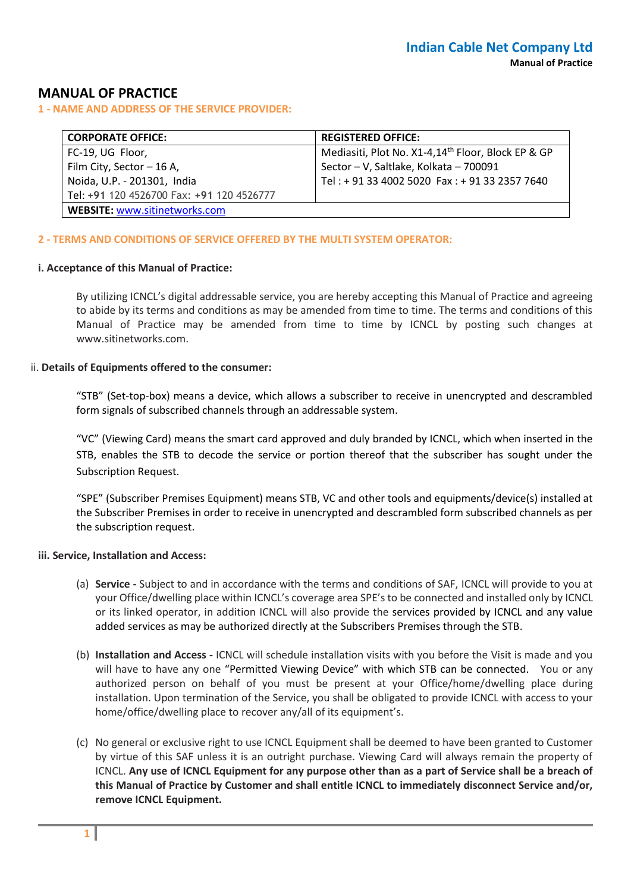# **MANUAL OF PRACTICE**

**1 - NAME AND ADDRESS OF THE SERVICE PROVIDER:**

| <b>CORPORATE OFFICE:</b>                  | <b>REGISTERED OFFICE:</b>                                      |  |  |  |
|-------------------------------------------|----------------------------------------------------------------|--|--|--|
| FC-19, UG Floor,                          | Mediasiti, Plot No. X1-4,14 <sup>th</sup> Floor, Block EP & GP |  |  |  |
| Film City, Sector - 16 A,                 | Sector - V, Saltlake, Kolkata - 700091                         |  |  |  |
| Noida, U.P. - 201301, India               | Tel: + 91 33 4002 5020 Fax: + 91 33 2357 7640                  |  |  |  |
| Tel: +91 120 4526700 Fax: +91 120 4526777 |                                                                |  |  |  |
| <b>WEBSITE: www.sitinetworks.com</b>      |                                                                |  |  |  |

#### **2 - TERMS AND CONDITIONS OF SERVICE OFFERED BY THE MULTI SYSTEM OPERATOR:**

#### **i. Acceptance of this Manual of Practice:**

By utilizing ICNCL's digital addressable service, you are hereby accepting this Manual of Practice and agreeing to abide by its terms and conditions as may be amended from time to time. The terms and conditions of this Manual of Practice may be amended from time to time by ICNCL by posting such changes at www.sitinetworks.com.

#### ii. **Details of Equipments offered to the consumer:**

"STB" (Set-top-box) means a device, which allows a subscriber to receive in unencrypted and descrambled form signals of subscribed channels through an addressable system.

"VC" (Viewing Card) means the smart card approved and duly branded by ICNCL, which when inserted in the STB, enables the STB to decode the service or portion thereof that the subscriber has sought under the Subscription Request.

"SPE" (Subscriber Premises Equipment) means STB, VC and other tools and equipments/device(s) installed at the Subscriber Premises in order to receive in unencrypted and descrambled form subscribed channels as per the subscription request.

#### **iii. Service, Installation and Access:**

- (a) **Service -** Subject to and in accordance with the terms and conditions of SAF, ICNCL will provide to you at your Office/dwelling place within ICNCL's coverage area SPE's to be connected and installed only by ICNCL or its linked operator, in addition ICNCL will also provide the services provided by ICNCL and any value added services as may be authorized directly at the Subscribers Premises through the STB.
- (b) **Installation and Access -** ICNCL will schedule installation visits with you before the Visit is made and you will have to have any one "Permitted Viewing Device" with which STB can be connected. You or any authorized person on behalf of you must be present at your Office/home/dwelling place during installation. Upon termination of the Service, you shall be obligated to provide ICNCL with access to your home/office/dwelling place to recover any/all of its equipment's.
- (c) No general or exclusive right to use ICNCL Equipment shall be deemed to have been granted to Customer by virtue of this SAF unless it is an outright purchase. Viewing Card will always remain the property of ICNCL. **Any use of ICNCL Equipment for any purpose other than as a part of Service shall be a breach of this Manual of Practice by Customer and shall entitle ICNCL to immediately disconnect Service and/or, remove ICNCL Equipment.**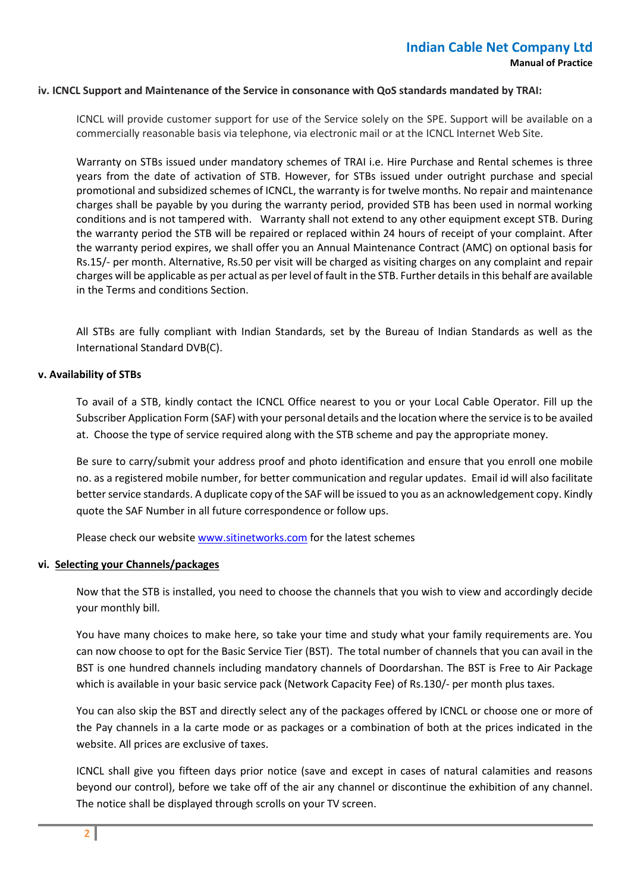#### **iv. ICNCL Support and Maintenance of the Service in consonance with QoS standards mandated by TRAI:**

ICNCL will provide customer support for use of the Service solely on the SPE. Support will be available on a commercially reasonable basis via telephone, via electronic mail or at the ICNCL Internet Web Site.

Warranty on STBs issued under mandatory schemes of TRAI i.e. Hire Purchase and Rental schemes is three years from the date of activation of STB. However, for STBs issued under outright purchase and special promotional and subsidized schemes of ICNCL, the warranty is for twelve months. No repair and maintenance charges shall be payable by you during the warranty period, provided STB has been used in normal working conditions and is not tampered with. Warranty shall not extend to any other equipment except STB. During the warranty period the STB will be repaired or replaced within 24 hours of receipt of your complaint. After the warranty period expires, we shall offer you an Annual Maintenance Contract (AMC) on optional basis for Rs.15/- per month. Alternative, Rs.50 per visit will be charged as visiting charges on any complaint and repair charges will be applicable as per actual as per level of fault in the STB. Further details in this behalf are available in the Terms and conditions Section.

All STBs are fully compliant with Indian Standards, set by the Bureau of Indian Standards as well as the International Standard DVB(C).

#### **v. Availability of STBs**

To avail of a STB, kindly contact the ICNCL Office nearest to you or your Local Cable Operator. Fill up the Subscriber Application Form (SAF) with your personal details and the location where the service is to be availed at. Choose the type of service required along with the STB scheme and pay the appropriate money.

Be sure to carry/submit your address proof and photo identification and ensure that you enroll one mobile no. as a registered mobile number, for better communication and regular updates. Email id will also facilitate better service standards. A duplicate copy of the SAF will be issued to you as an acknowledgement copy. Kindly quote the SAF Number in all future correspondence or follow ups.

Please check our websit[e www.sitinetworks.com](http://www.siticable.com/) for the latest schemes

### **vi. Selecting your Channels/packages**

Now that the STB is installed, you need to choose the channels that you wish to view and accordingly decide your monthly bill.

You have many choices to make here, so take your time and study what your family requirements are. You can now choose to opt for the Basic Service Tier (BST). The total number of channels that you can avail in the BST is one hundred channels including mandatory channels of Doordarshan. The BST is Free to Air Package which is available in your basic service pack (Network Capacity Fee) of Rs.130/- per month plus taxes.

You can also skip the BST and directly select any of the packages offered by ICNCL or choose one or more of the Pay channels in a la carte mode or as packages or a combination of both at the prices indicated in the website. All prices are exclusive of taxes.

ICNCL shall give you fifteen days prior notice (save and except in cases of natural calamities and reasons beyond our control), before we take off of the air any channel or discontinue the exhibition of any channel. The notice shall be displayed through scrolls on your TV screen.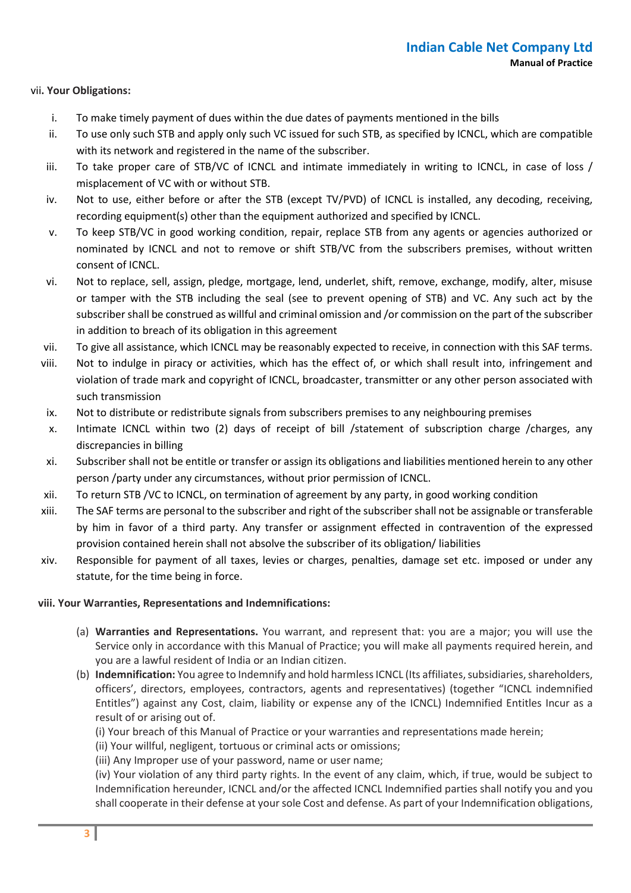# vii**. Your Obligations:**

- i. To make timely payment of dues within the due dates of payments mentioned in the bills
- ii. To use only such STB and apply only such VC issued for such STB, as specified by ICNCL, which are compatible with its network and registered in the name of the subscriber.
- iii. To take proper care of STB/VC of ICNCL and intimate immediately in writing to ICNCL, in case of loss / misplacement of VC with or without STB.
- iv. Not to use, either before or after the STB (except TV/PVD) of ICNCL is installed, any decoding, receiving, recording equipment(s) other than the equipment authorized and specified by ICNCL.
- v. To keep STB/VC in good working condition, repair, replace STB from any agents or agencies authorized or nominated by ICNCL and not to remove or shift STB/VC from the subscribers premises, without written consent of ICNCL.
- vi. Not to replace, sell, assign, pledge, mortgage, lend, underlet, shift, remove, exchange, modify, alter, misuse or tamper with the STB including the seal (see to prevent opening of STB) and VC. Any such act by the subscriber shall be construed as willful and criminal omission and /or commission on the part of the subscriber in addition to breach of its obligation in this agreement
- vii. To give all assistance, which ICNCL may be reasonably expected to receive, in connection with this SAF terms.
- viii. Not to indulge in piracy or activities, which has the effect of, or which shall result into, infringement and violation of trade mark and copyright of ICNCL, broadcaster, transmitter or any other person associated with such transmission
- ix. Not to distribute or redistribute signals from subscribers premises to any neighbouring premises
- x. Intimate ICNCL within two (2) days of receipt of bill /statement of subscription charge /charges, any discrepancies in billing
- xi. Subscriber shall not be entitle or transfer or assign its obligations and liabilities mentioned herein to any other person /party under any circumstances, without prior permission of ICNCL.
- xii. To return STB /VC to ICNCL, on termination of agreement by any party, in good working condition
- xiii. The SAF terms are personal to the subscriber and right of the subscriber shall not be assignable or transferable by him in favor of a third party. Any transfer or assignment effected in contravention of the expressed provision contained herein shall not absolve the subscriber of its obligation/ liabilities
- xiv. Responsible for payment of all taxes, levies or charges, penalties, damage set etc. imposed or under any statute, for the time being in force.

### **viii. Your Warranties, Representations and Indemnifications:**

- (a) **Warranties and Representations.** You warrant, and represent that: you are a major; you will use the Service only in accordance with this Manual of Practice; you will make all payments required herein, and you are a lawful resident of India or an Indian citizen.
- (b) **Indemnification:** You agree to Indemnify and hold harmless ICNCL (Its affiliates, subsidiaries, shareholders, officers', directors, employees, contractors, agents and representatives) (together "ICNCL indemnified Entitles") against any Cost, claim, liability or expense any of the ICNCL) Indemnified Entitles Incur as a result of or arising out of.
	- (i) Your breach of this Manual of Practice or your warranties and representations made herein;
	- (ii) Your willful, negligent, tortuous or criminal acts or omissions;
	- (iii) Any Improper use of your password, name or user name;

(iv) Your violation of any third party rights. In the event of any claim, which, if true, would be subject to Indemnification hereunder, ICNCL and/or the affected ICNCL Indemnified parties shall notify you and you shall cooperate in their defense at your sole Cost and defense. As part of your Indemnification obligations,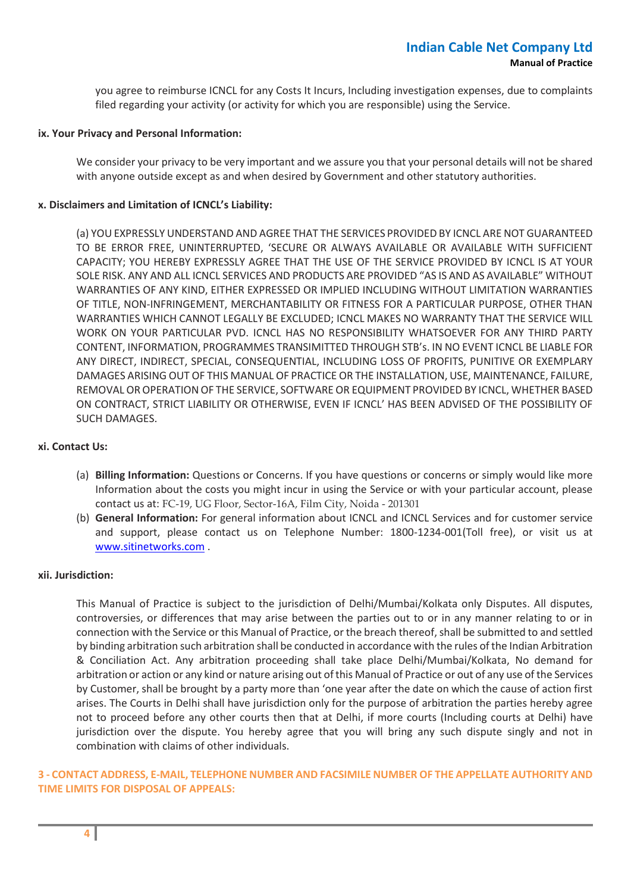you agree to reimburse ICNCL for any Costs It Incurs, Including investigation expenses, due to complaints filed regarding your activity (or activity for which you are responsible) using the Service.

#### **ix. Your Privacy and Personal Information:**

We consider your privacy to be very important and we assure you that your personal details will not be shared with anyone outside except as and when desired by Government and other statutory authorities.

### **x. Disclaimers and Limitation of ICNCL's Liability:**

(a) YOU EXPRESSLY UNDERSTAND AND AGREE THAT THE SERVICES PROVIDED BY ICNCL ARE NOT GUARANTEED TO BE ERROR FREE, UNINTERRUPTED, 'SECURE OR ALWAYS AVAILABLE OR AVAILABLE WITH SUFFICIENT CAPACITY; YOU HEREBY EXPRESSLY AGREE THAT THE USE OF THE SERVICE PROVIDED BY ICNCL IS AT YOUR SOLE RISK. ANY AND ALL ICNCL SERVICES AND PRODUCTS ARE PROVIDED "AS IS AND AS AVAILABLE" WITHOUT WARRANTIES OF ANY KIND, EITHER EXPRESSED OR IMPLIED INCLUDING WITHOUT LIMITATION WARRANTIES OF TITLE, NON-INFRINGEMENT, MERCHANTABILITY OR FITNESS FOR A PARTICULAR PURPOSE, OTHER THAN WARRANTIES WHICH CANNOT LEGALLY BE EXCLUDED; ICNCL MAKES NO WARRANTY THAT THE SERVICE WILL WORK ON YOUR PARTICULAR PVD. ICNCL HAS NO RESPONSIBILITY WHATSOEVER FOR ANY THIRD PARTY CONTENT, INFORMATION, PROGRAMMES TRANSIMITTED THROUGH STB's. IN NO EVENT ICNCL BE LIABLE FOR ANY DIRECT, INDIRECT, SPECIAL, CONSEQUENTIAL, INCLUDING LOSS OF PROFITS, PUNITIVE OR EXEMPLARY DAMAGES ARISING OUT OF THIS MANUAL OF PRACTICE OR THE INSTALLATION, USE, MAINTENANCE, FAILURE, REMOVAL OR OPERATION OF THE SERVICE, SOFTWARE OR EQUIPMENT PROVIDED BY ICNCL, WHETHER BASED ON CONTRACT, STRICT LIABILITY OR OTHERWISE, EVEN IF ICNCL' HAS BEEN ADVISED OF THE POSSIBILITY OF SUCH DAMAGES.

#### **xi. Contact Us:**

- (a) **Billing Information:** Questions or Concerns. If you have questions or concerns or simply would like more Information about the costs you might incur in using the Service or with your particular account, please contact us at: FC-19, UG Floor, Sector-16A, Film City, Noida - 201301
- (b) **General Information:** For general information about ICNCL and ICNCL Services and for customer service and support, please contact us on Telephone Number: 1800-1234-001(Toll free), or visit us at [www.sitinetworks.com](http://www.siticable.com/) .

### **xii. Jurisdiction:**

This Manual of Practice is subject to the jurisdiction of Delhi/Mumbai/Kolkata only Disputes. All disputes, controversies, or differences that may arise between the parties out to or in any manner relating to or in connection with the Service or this Manual of Practice, or the breach thereof, shall be submitted to and settled by binding arbitration such arbitration shall be conducted in accordance with the rules of the Indian Arbitration & Conciliation Act. Any arbitration proceeding shall take place Delhi/Mumbai/Kolkata, No demand for arbitration or action or any kind or nature arising out of this Manual of Practice or out of any use of the Services by Customer, shall be brought by a party more than 'one year after the date on which the cause of action first arises. The Courts in Delhi shall have jurisdiction only for the purpose of arbitration the parties hereby agree not to proceed before any other courts then that at Delhi, if more courts (Including courts at Delhi) have jurisdiction over the dispute. You hereby agree that you will bring any such dispute singly and not in combination with claims of other individuals.

# **3 - CONTACT ADDRESS, E-MAIL, TELEPHONE NUMBER AND FACSIMILE NUMBER OF THE APPELLATE AUTHORITY AND TIME LIMITS FOR DISPOSAL OF APPEALS:**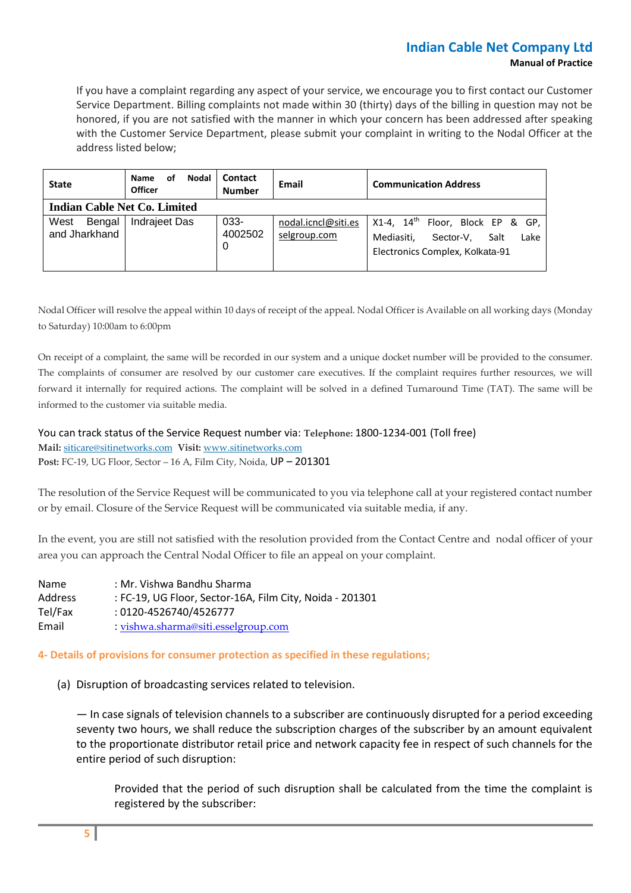# **Indian Cable Net Company Ltd Manual of Practice**

If you have a complaint regarding any aspect of your service, we encourage you to first contact our Customer Service Department. Billing complaints not made within 30 (thirty) days of the billing in question may not be honored, if you are not satisfied with the manner in which your concern has been addressed after speaking with the Customer Service Department, please submit your complaint in writing to the Nodal Officer at the address listed below;

| <b>State</b>                    | <b>Nodal</b><br>οf<br><b>Name</b><br><b>Officer</b> | Contact<br><b>Number</b> | Email                               | <b>Communication Address</b>                                                                                               |  |  |
|---------------------------------|-----------------------------------------------------|--------------------------|-------------------------------------|----------------------------------------------------------------------------------------------------------------------------|--|--|
| Indian Cable Net Co. Limited    |                                                     |                          |                                     |                                                                                                                            |  |  |
| West<br>Bengal<br>and Jharkhand | <b>Indrajeet Das</b>                                | 033-<br>4002502<br>0     | nodal.icncl@siti.es<br>selgroup.com | X1-4, $14^{\text{th}}$ Floor, Block EP & GP,<br>Lake<br>Mediasiti.<br>Sector-V.<br>Salt<br>Electronics Complex, Kolkata-91 |  |  |

Nodal Officer will resolve the appeal within 10 days of receipt of the appeal. Nodal Officer is Available on all working days (Monday to Saturday) 10:00am to 6:00pm

On receipt of a complaint, the same will be recorded in our system and a unique docket number will be provided to the consumer. The complaints of consumer are resolved by our customer care executives. If the complaint requires further resources, we will forward it internally for required actions. The complaint will be solved in a defined Turnaround Time (TAT). The same will be informed to the customer via suitable media.

You can track status of the Service Request number via: **Telephone:** 1800-1234-001 (Toll free) **Mail:** [siticare@sitinetworks.com](mailto:siticare@siticable.com) **Visit:** [www.sitinetworks.com](http://www.siticable.com/) **Post:** FC-19, UG Floor, Sector – 16 A, Film City, Noida, UP – 201301

The resolution of the Service Request will be communicated to you via telephone call at your registered contact number or by email. Closure of the Service Request will be communicated via suitable media, if any.

In the event, you are still not satisfied with the resolution provided from the Contact Centre and nodal officer of your area you can approach the Central Nodal Officer to file an appeal on your complaint.

Name : Mr. Vishwa Bandhu Sharma Address : FC-19, UG Floor, Sector-16A, Film City, Noida - 201301 Tel/Fax : 0120-4526740/4526777 Email : [vishwa.sharma@siti.esselgroup.com](mailto:vishwa.sharma@siti.esselgroup.com)

### **4- Details of provisions for consumer protection as specified in these regulations;**

(a) Disruption of broadcasting services related to television.

— In case signals of television channels to a subscriber are continuously disrupted for a period exceeding seventy two hours, we shall reduce the subscription charges of the subscriber by an amount equivalent to the proportionate distributor retail price and network capacity fee in respect of such channels for the entire period of such disruption:

Provided that the period of such disruption shall be calculated from the time the complaint is registered by the subscriber: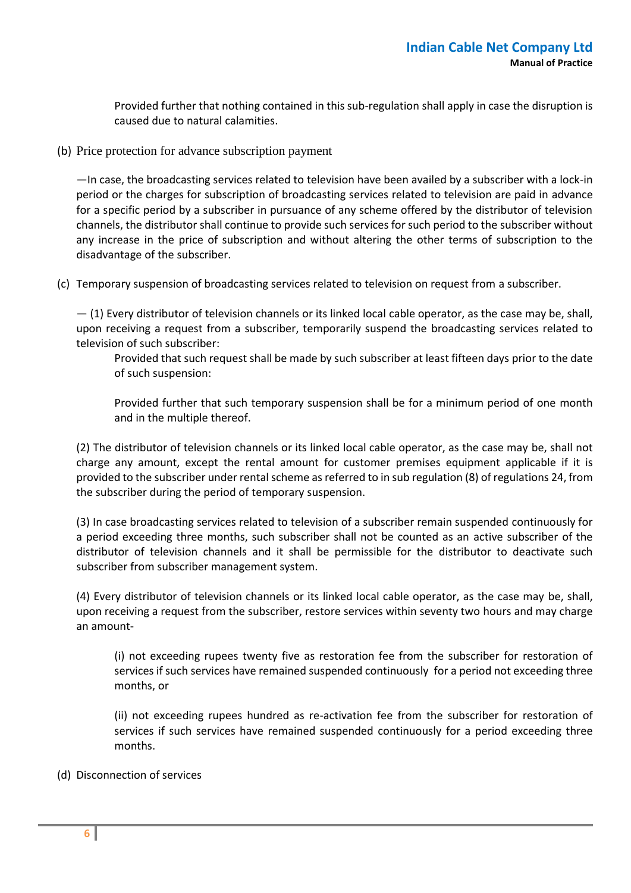Provided further that nothing contained in this sub-regulation shall apply in case the disruption is caused due to natural calamities.

(b) Price protection for advance subscription payment

—In case, the broadcasting services related to television have been availed by a subscriber with a lock-in period or the charges for subscription of broadcasting services related to television are paid in advance for a specific period by a subscriber in pursuance of any scheme offered by the distributor of television channels, the distributor shall continue to provide such services for such period to the subscriber without any increase in the price of subscription and without altering the other terms of subscription to the disadvantage of the subscriber.

(c) Temporary suspension of broadcasting services related to television on request from a subscriber.

— (1) Every distributor of television channels or its linked local cable operator, as the case may be, shall, upon receiving a request from a subscriber, temporarily suspend the broadcasting services related to television of such subscriber:

Provided that such request shall be made by such subscriber at least fifteen days prior to the date of such suspension:

Provided further that such temporary suspension shall be for a minimum period of one month and in the multiple thereof.

(2) The distributor of television channels or its linked local cable operator, as the case may be, shall not charge any amount, except the rental amount for customer premises equipment applicable if it is provided to the subscriber under rental scheme as referred to in sub regulation (8) of regulations 24, from the subscriber during the period of temporary suspension.

(3) In case broadcasting services related to television of a subscriber remain suspended continuously for a period exceeding three months, such subscriber shall not be counted as an active subscriber of the distributor of television channels and it shall be permissible for the distributor to deactivate such subscriber from subscriber management system.

(4) Every distributor of television channels or its linked local cable operator, as the case may be, shall, upon receiving a request from the subscriber, restore services within seventy two hours and may charge an amount-

(i) not exceeding rupees twenty five as restoration fee from the subscriber for restoration of services if such services have remained suspended continuously for a period not exceeding three months, or

(ii) not exceeding rupees hundred as re-activation fee from the subscriber for restoration of services if such services have remained suspended continuously for a period exceeding three months.

(d) Disconnection of services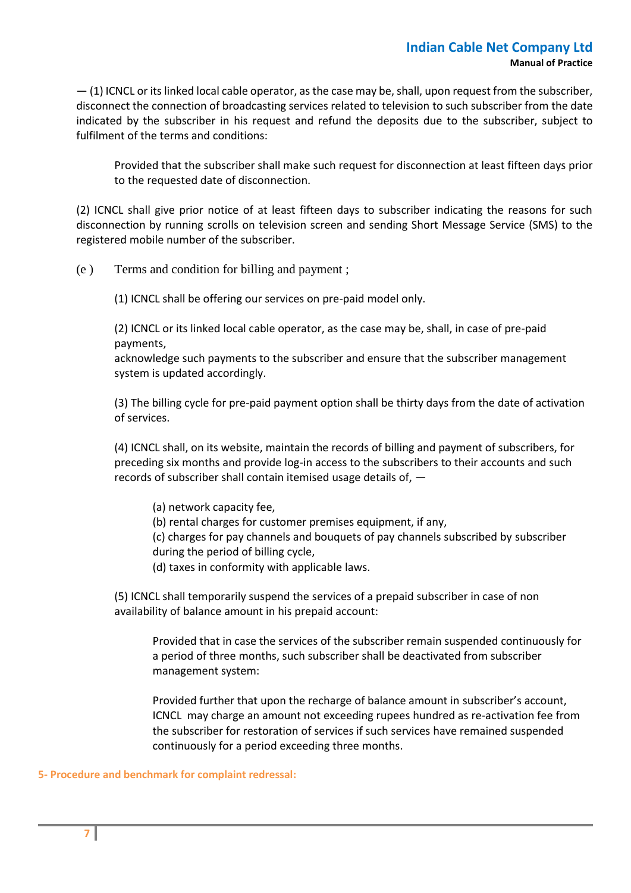— (1) ICNCL or its linked local cable operator, as the case may be, shall, upon request from the subscriber, disconnect the connection of broadcasting services related to television to such subscriber from the date indicated by the subscriber in his request and refund the deposits due to the subscriber, subject to fulfilment of the terms and conditions:

Provided that the subscriber shall make such request for disconnection at least fifteen days prior to the requested date of disconnection.

(2) ICNCL shall give prior notice of at least fifteen days to subscriber indicating the reasons for such disconnection by running scrolls on television screen and sending Short Message Service (SMS) to the registered mobile number of the subscriber.

(e ) Terms and condition for billing and payment ;

(1) ICNCL shall be offering our services on pre-paid model only.

(2) ICNCL or its linked local cable operator, as the case may be, shall, in case of pre-paid payments,

acknowledge such payments to the subscriber and ensure that the subscriber management system is updated accordingly.

(3) The billing cycle for pre-paid payment option shall be thirty days from the date of activation of services.

(4) ICNCL shall, on its website, maintain the records of billing and payment of subscribers, for preceding six months and provide log-in access to the subscribers to their accounts and such records of subscriber shall contain itemised usage details of, —

- (a) network capacity fee,
- (b) rental charges for customer premises equipment, if any,

(c) charges for pay channels and bouquets of pay channels subscribed by subscriber during the period of billing cycle,

(d) taxes in conformity with applicable laws.

(5) ICNCL shall temporarily suspend the services of a prepaid subscriber in case of non availability of balance amount in his prepaid account:

Provided that in case the services of the subscriber remain suspended continuously for a period of three months, such subscriber shall be deactivated from subscriber management system:

Provided further that upon the recharge of balance amount in subscriber's account, ICNCL may charge an amount not exceeding rupees hundred as re-activation fee from the subscriber for restoration of services if such services have remained suspended continuously for a period exceeding three months.

### **5- Procedure and benchmark for complaint redressal:**